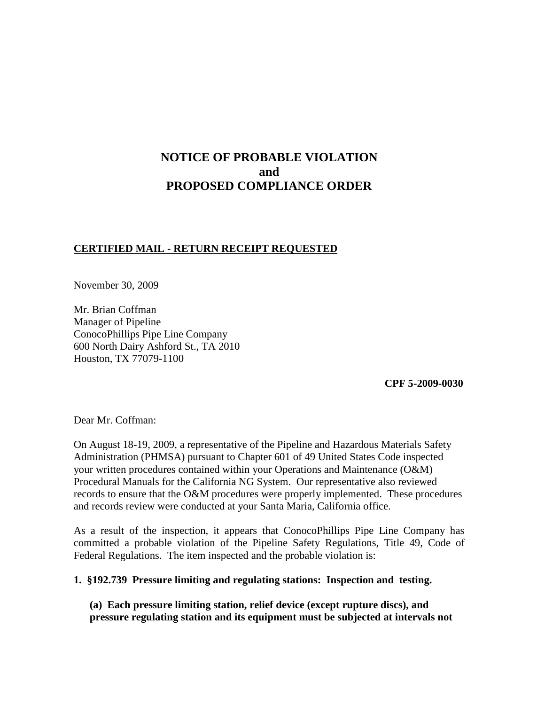# **NOTICE OF PROBABLE VIOLATION and PROPOSED COMPLIANCE ORDER**

### **CERTIFIED MAIL - RETURN RECEIPT REQUESTED**

November 30, 2009

Mr. Brian Coffman Manager of Pipeline ConocoPhillips Pipe Line Company 600 North Dairy Ashford St., TA 2010 Houston, TX 77079-1100

 **CPF 5-2009-0030**

Dear Mr. Coffman:

On August 18-19, 2009, a representative of the Pipeline and Hazardous Materials Safety Administration (PHMSA) pursuant to Chapter 601 of 49 United States Code inspected your written procedures contained within your Operations and Maintenance (O&M) Procedural Manuals for the California NG System. Our representative also reviewed records to ensure that the O&M procedures were properly implemented. These procedures and records review were conducted at your Santa Maria, California office.

As a result of the inspection, it appears that ConocoPhillips Pipe Line Company has committed a probable violation of the Pipeline Safety Regulations, Title 49, Code of Federal Regulations. The item inspected and the probable violation is:

**1. §192.739 Pressure limiting and regulating stations: Inspection and testing.**

**(a) Each pressure limiting station, relief device (except rupture discs), and pressure regulating station and its equipment must be subjected at intervals not**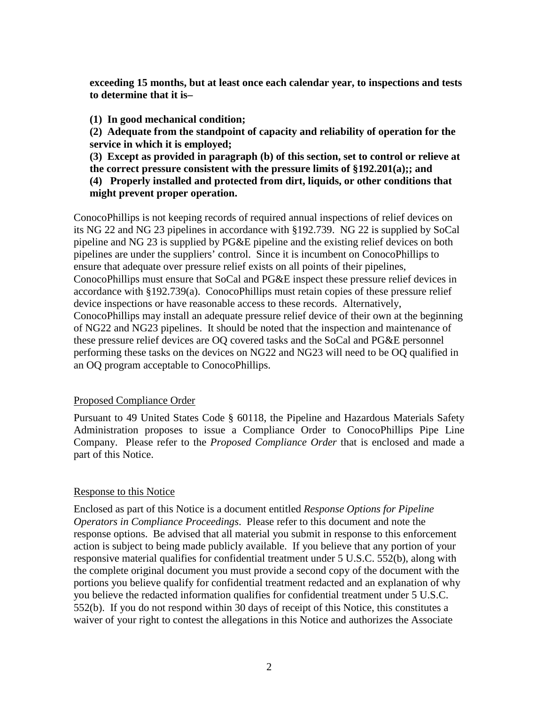**exceeding 15 months, but at least once each calendar year, to inspections and tests to determine that it is–**

**(1) In good mechanical condition;**

**(2) Adequate from the standpoint of capacity and reliability of operation for the service in which it is employed;**

**(3) Except as provided in paragraph (b) of this section, set to control or relieve at the correct pressure consistent with the pressure limits of §192.201(a);; and**

**(4) Properly installed and protected from dirt, liquids, or other conditions that might prevent proper operation.**

ConocoPhillips is not keeping records of required annual inspections of relief devices on its NG 22 and NG 23 pipelines in accordance with §192.739. NG 22 is supplied by SoCal pipeline and NG 23 is supplied by PG&E pipeline and the existing relief devices on both pipelines are under the suppliers' control. Since it is incumbent on ConocoPhillips to ensure that adequate over pressure relief exists on all points of their pipelines, ConocoPhillips must ensure that SoCal and PG&E inspect these pressure relief devices in accordance with §192.739(a). ConocoPhillips must retain copies of these pressure relief device inspections or have reasonable access to these records. Alternatively, ConocoPhillips may install an adequate pressure relief device of their own at the beginning of NG22 and NG23 pipelines. It should be noted that the inspection and maintenance of these pressure relief devices are OQ covered tasks and the SoCal and PG&E personnel performing these tasks on the devices on NG22 and NG23 will need to be OQ qualified in an OQ program acceptable to ConocoPhillips.

#### Proposed Compliance Order

Pursuant to 49 United States Code § 60118, the Pipeline and Hazardous Materials Safety Administration proposes to issue a Compliance Order to ConocoPhillips Pipe Line Company. Please refer to the *Proposed Compliance Order* that is enclosed and made a part of this Notice.

### Response to this Notice

Enclosed as part of this Notice is a document entitled *Response Options for Pipeline Operators in Compliance Proceedings*. Please refer to this document and note the response options. Be advised that all material you submit in response to this enforcement action is subject to being made publicly available. If you believe that any portion of your responsive material qualifies for confidential treatment under 5 U.S.C. 552(b), along with the complete original document you must provide a second copy of the document with the portions you believe qualify for confidential treatment redacted and an explanation of why you believe the redacted information qualifies for confidential treatment under 5 U.S.C. 552(b). If you do not respond within 30 days of receipt of this Notice, this constitutes a waiver of your right to contest the allegations in this Notice and authorizes the Associate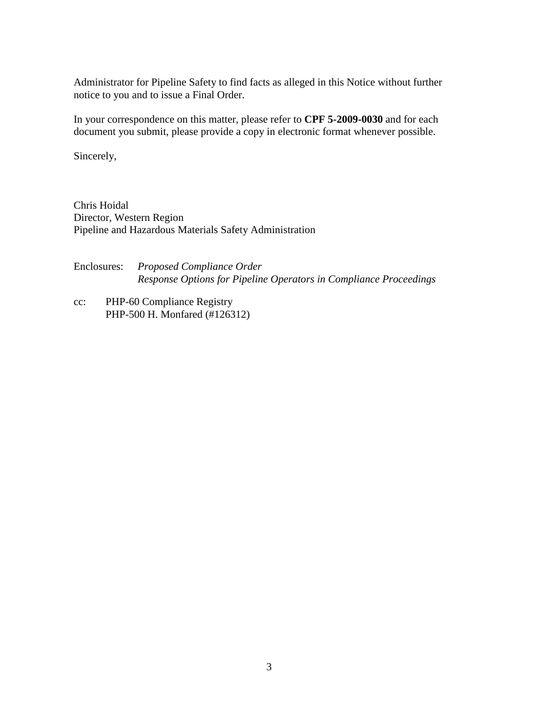Administrator for Pipeline Safety to find facts as alleged in this Notice without further notice to you and to issue a Final Order.

In your correspondence on this matter, please refer to **CPF 5-2009-0030** and for each document you submit, please provide a copy in electronic format whenever possible.

Sincerely,

Chris Hoidal Director, Western Region Pipeline and Hazardous Materials Safety Administration

Enclosures: *Proposed Compliance Order Response Options for Pipeline Operators in Compliance Proceedings*

cc: PHP-60 Compliance Registry PHP-500 H. Monfared (#126312)